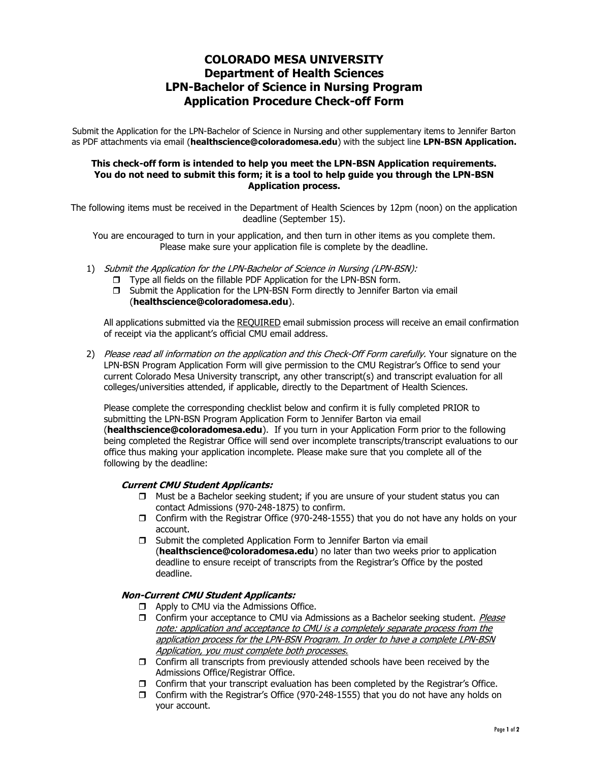# COLORADO MESA UNIVERSITY Department of Health Sciences LPN-Bachelor of Science in Nursing Program Application Procedure Check-off Form

Submit the Application for the LPN-Bachelor of Science in Nursing and other supplementary items to Jennifer Barton as PDF attachments via email (healthscience@coloradomesa.edu) with the subject line LPN-BSN Application.

### This check-off form is intended to help you meet the LPN-BSN Application requirements. You do not need to submit this form; it is a tool to help guide you through the LPN-BSN Application process.

The following items must be received in the Department of Health Sciences by 12pm (noon) on the application deadline (September 15).

You are encouraged to turn in your application, and then turn in other items as you complete them. Please make sure your application file is complete by the deadline.

- 1) Submit the Application for the LPN-Bachelor of Science in Nursing (LPN-BSN):
	- □ Type all fields on the fillable PDF Application for the LPN-BSN form.
	- **J** Submit the Application for the LPN-BSN Form directly to Jennifer Barton via email (healthscience@coloradomesa.edu).

All applications submitted via the REQUIRED email submission process will receive an email confirmation of receipt via the applicant's official CMU email address.

2) Please read all information on the application and this Check-Off Form carefully. Your signature on the LPN-BSN Program Application Form will give permission to the CMU Registrar's Office to send your current Colorado Mesa University transcript, any other transcript(s) and transcript evaluation for all colleges/universities attended, if applicable, directly to the Department of Health Sciences.

Please complete the corresponding checklist below and confirm it is fully completed PRIOR to submitting the LPN-BSN Program Application Form to Jennifer Barton via email (healthscience@coloradomesa.edu). If you turn in your Application Form prior to the following being completed the Registrar Office will send over incomplete transcripts/transcript evaluations to our office thus making your application incomplete. Please make sure that you complete all of the following by the deadline:

### Current CMU Student Applicants:

- $\Box$  Must be a Bachelor seeking student; if you are unsure of your student status you can contact Admissions (970-248-1875) to confirm.
- Confirm with the Registrar Office (970-248-1555) that you do not have any holds on your account.
- $\Box$  Submit the completed Application Form to Jennifer Barton via email (healthscience@coloradomesa.edu) no later than two weeks prior to application deadline to ensure receipt of transcripts from the Registrar's Office by the posted deadline.

### Non-Current CMU Student Applicants:

- $\Box$  Apply to CMU via the Admissions Office.
- **D** Confirm your acceptance to CMU via Admissions as a Bachelor seeking student. *Please* note: application and acceptance to CMU is a completely separate process from the application process for the LPN-BSN Program. In order to have a complete LPN-BSN Application, you must complete both processes.
- $\Box$  Confirm all transcripts from previously attended schools have been received by the Admissions Office/Registrar Office.
- $\Box$  Confirm that your transcript evaluation has been completed by the Registrar's Office.
- Confirm with the Registrar's Office (970-248-1555) that you do not have any holds on your account.